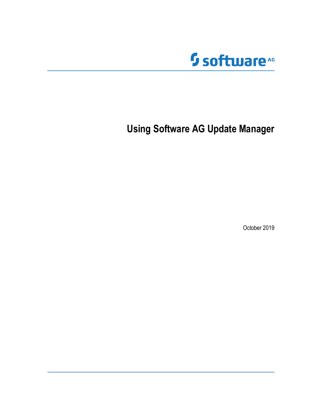

**Using Software AG Update Manager**

October 2019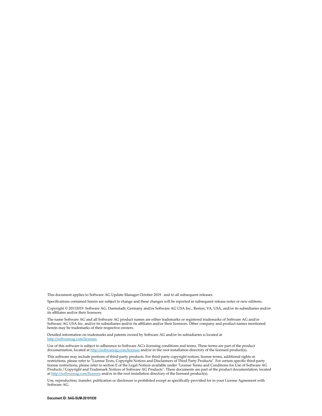This document applies to Software AG Update Manager October 2019 and to all subsequent releases.

Specifications contained herein are subject to change and these changes will be reported in subsequent release notes or new editions.

Copyright © 20112019 Software AG, Darmstadt, Germany and/or Software AG USA Inc., Reston, VA, USA, and/or its subsidiaries and/or its affiliates and/or their licensors.

The name Software AG and all Software AG product names are either trademarks or registered trademarks of Software AG and/or Software AG USA Inc. and/or its subsidiaries and/or its affiliates and/or their licensors. Other company and product names mentioned herein may be trademarks of their respective owners.

Detailed information on trademarks and patents owned by Software AG and/or its subsidiaries is located at http://softwareag.com/licenses.

Use of this software is subject to adherence to Software AG's licensing conditions and terms. These terms are part of the product documentation, located at http://softwareag.com/licenses and/or in the root installation directory of the licensed product(s).

This software may include portions of third-party products. For third-party copyright notices, license terms, additional rights or restrictions, please refer to "License Texts, Copyright Notices and Disclaimers of Third Party Products". For certain specific third-party license restrictions, please refer to section E of the Legal Notices available under "License Terms and Conditions for Use of Software AG Products / Copyright and Trademark Notices of Software AG Products". These documents are part of the product documentation, located at http://softwareag.com/licenses and/or in the root installation directory of the licensed product(s).

Use, reproduction, transfer, publication or disclosure is prohibited except as specifically provided for in your License Agreement with Software AG.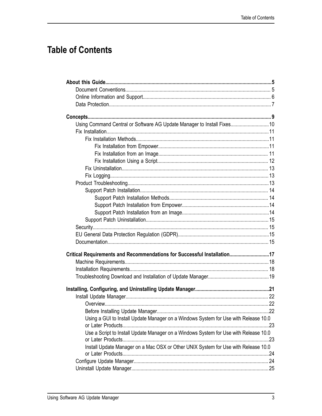# **Table of Contents**

| Using Command Central or Software AG Update Manager to Install Fixes10               |  |
|--------------------------------------------------------------------------------------|--|
|                                                                                      |  |
|                                                                                      |  |
|                                                                                      |  |
|                                                                                      |  |
|                                                                                      |  |
|                                                                                      |  |
|                                                                                      |  |
|                                                                                      |  |
|                                                                                      |  |
|                                                                                      |  |
|                                                                                      |  |
|                                                                                      |  |
|                                                                                      |  |
|                                                                                      |  |
|                                                                                      |  |
|                                                                                      |  |
| Critical Requirements and Recommendations for Successful Installation17              |  |
|                                                                                      |  |
|                                                                                      |  |
|                                                                                      |  |
|                                                                                      |  |
|                                                                                      |  |
|                                                                                      |  |
|                                                                                      |  |
| Using a GUI to Install Update Manager on a Windows System for Use with Release 10.0  |  |
| Use a Script to Install Update Manager on a Windows System for Use with Release 10.0 |  |
|                                                                                      |  |
| Install Update Manager on a Mac OSX or Other UNIX System for Use with Release 10.0   |  |
|                                                                                      |  |
|                                                                                      |  |
|                                                                                      |  |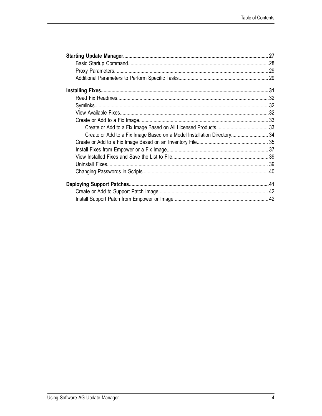| Create or Add to a Fix Image Based on a Model Installation Directory 34 |  |
|-------------------------------------------------------------------------|--|
|                                                                         |  |
|                                                                         |  |
|                                                                         |  |
|                                                                         |  |
|                                                                         |  |
|                                                                         |  |
|                                                                         |  |
|                                                                         |  |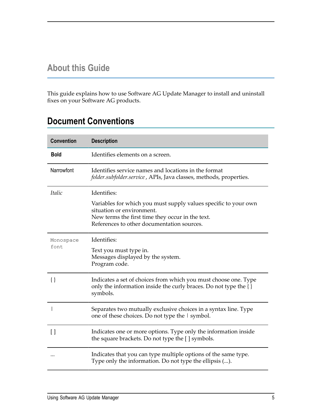## <span id="page-4-0"></span>**About this Guide**

This guide explains how to use Software AG Update Manager to install and uninstall fixes on your Software AG products.

# <span id="page-4-1"></span>**Document Conventions**

| <b>Convention</b> | <b>Description</b>                                                                                                                              |
|-------------------|-------------------------------------------------------------------------------------------------------------------------------------------------|
| <b>Bold</b>       | Identifies elements on a screen.                                                                                                                |
| Narrowfont        | Identifies service names and locations in the format<br>folder.subfolder.service, APIs, Java classes, methods, properties.                      |
| <i>Italic</i>     | Identifies:                                                                                                                                     |
|                   | Variables for which you must supply values specific to your own<br>situation or environment.                                                    |
|                   | New terms the first time they occur in the text.<br>References to other documentation sources.                                                  |
|                   |                                                                                                                                                 |
| Monospace         | Identifies:                                                                                                                                     |
| font.             | Text you must type in.<br>Messages displayed by the system.<br>Program code.                                                                    |
| $\{\}$            | Indicates a set of choices from which you must choose one. Type<br>only the information inside the curly braces. Do not type the {}<br>symbols. |
|                   | Separates two mutually exclusive choices in a syntax line. Type<br>one of these choices. Do not type the $\vert$ symbol.                        |
| $\lceil$ $\rceil$ | Indicates one or more options. Type only the information inside<br>the square brackets. Do not type the [] symbols.                             |
|                   | Indicates that you can type multiple options of the same type.<br>Type only the information. Do not type the ellipsis ().                       |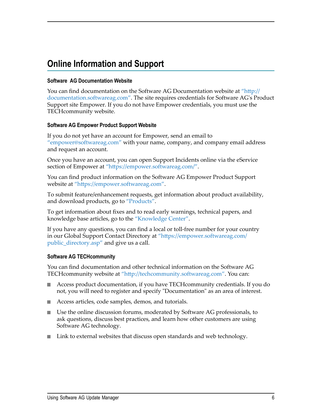# <span id="page-5-0"></span>**Online Information and Support**

#### **Software AG Documentation Website**

You can find documentation on the Software AG Documentation website at "http:// [documentation.softwareag.com".](http://documentation.softwareag.com) The site requires credentials for Software AG's Product Support site Empower. If you do not have Empower credentials, you must use the TECHcommunity website.

#### **Software AG Empower Product Support Website**

If you do not yet have an account for Empower, send an email to ["empower@softwareag.com"](mailto:empower@softwareag.com) with your name, company, and company email address and request an account.

Once you have an account, you can open Support Incidents online via the eService section of Empower at "https://empower.softwareag.com/".

You can find product information on the Software AG Empower Product Support website at "https://empower.softwareag.com".

To submit feature/enhancement requests, get information about product availability, and download products, go to ["Products"](https://empower.softwareag.com/Products/default.asp).

To get information about fixes and to read early warnings, technical papers, and knowledge base articles, go to the ["Knowledge](https://empower.softwareag.com/KnowledgeCenter/default.asp) Center".

If you have any questions, you can find a local or toll-free number for your country in our Global Support Contact Directory at "https://empower.softwareag.com/ [public\\_directory.asp"](https://empower.softwareag.com/public_directory.asp) and give us a call.

#### **Software AG TECHcommunity**

You can find documentation and other technical information on the Software AG TECHcommunity website at "http://techcommunity.softwareag.com". You can:

- Access product documentation, if you have TECHcommunity credentials. If you do not, you will need to register and specify "Documentation" as an area of interest.
- Access articles, code samples, demos, and tutorials.
- Use the online discussion forums, moderated by Software AG professionals, to ask questions, discuss best practices, and learn how other customers are using Software AG technology.
- Link to external websites that discuss open standards and web technology.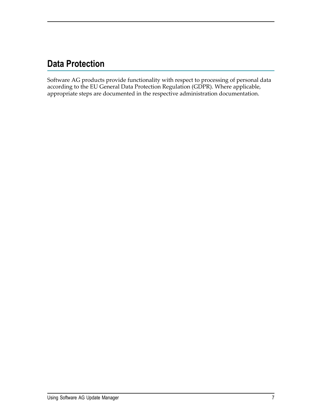# <span id="page-6-0"></span>**Data Protection**

Software AG products provide functionality with respect to processing of personal data according to the EU General Data Protection Regulation (GDPR). Where applicable, appropriate steps are documented in the respective administration documentation.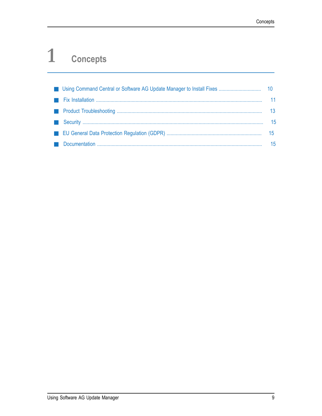#### <span id="page-8-0"></span> $\mathbf{1}$ **Concepts**

|  | 11               |
|--|------------------|
|  | 13               |
|  | -15              |
|  | 15 <sup>15</sup> |
|  | 15               |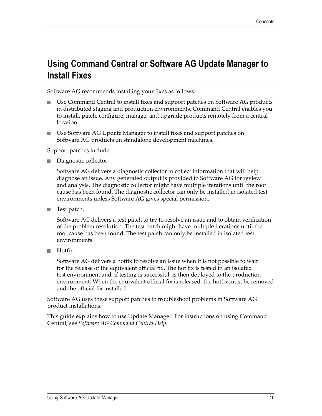# <span id="page-9-0"></span>**Using Command Central or Software AG Update Manager to Install Fixes**

Software AG recommends installing your fixes as follows:

- Use Command Central to install fixes and support patches on Software AG products in distributed staging and production environments. Command Central enables you to install, patch, configure, manage, and upgrade products remotely from a central location.
- Use Software AG Update Manager to install fixes and support patches on  $\overline{\phantom{a}}$ Software AG products on standalone development machines.

Support patches include:

Diagnostic collector.

Software AG delivers a diagnostic collector to collect information that will help diagnose an issue. Any generated output is provided to Software AG for review and analysis. The diagnostic collector might have multiple iterations until the root cause has been found. The diagnostic collector can only be installed in isolated test environments unless Software AG gives special permission.

Test patch.  $\overline{\phantom{a}}$ 

> Software AG delivers a test patch to try to resolve an issue and to obtain verification of the problem resolution. The test patch might have multiple iterations until the root cause has been found. The test patch can only be installed in isolated test environments.

Hotfix.  $\Box$ 

> Software AG delivers a hotfix to resolve an issue when it is not possible to wait for the release of the equivalent official fix. The hot fix is tested in an isolated test environment and, if testing is successful, is then deployed to the production environment. When the equivalent official fix is released, the hotfix must be removed and the official fix installed.

Software AG uses these support patches to troubleshoot problems in Software AG product installations.

This guide explains how to use Update Manager. For instructions on using Command Central, see *Software AG Command Central Help*.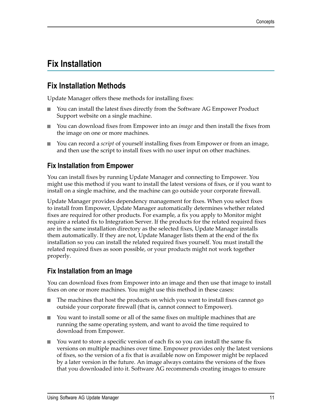# <span id="page-10-0"></span>**Fix Installation**

#### <span id="page-10-1"></span>**Fix Installation Methods**

Update Manager offers these methods for installing fixes:

- You can install the latest fixes directly from the Software AG Empower Product  $\Box$ Support website on a single machine.
- You can download fixes from Empower into an *image* and then install the fixes from  $\Box$ the image on one or more machines.
- You can record a *script* of yourself installing fixes from Empower or from an image, and then use the script to install fixes with no user input on other machines.

#### <span id="page-10-2"></span>**Fix Installation from Empower**

You can install fixes by running Update Manager and connecting to Empower. You might use this method if you want to install the latest versions of fixes, or if you want to install on a single machine, and the machine can go outside your corporate firewall.

Update Manager provides dependency management for fixes. When you select fixes to install from Empower, Update Manager automatically determines whether related fixes are required for other products. For example, a fix you apply to Monitor might require a related fix to Integration Server. If the products for the related required fixes are in the same installation directory as the selected fixes, Update Manager installs them automatically. If they are not, Update Manager lists them at the end of the fix installation so you can install the related required fixes yourself. You must install the related required fixes as soon possible, or your products might not work together properly.

#### <span id="page-10-3"></span>**Fix Installation from an Image**

You can download fixes from Empower into an image and then use that image to install fixes on one or more machines. You might use this method in these cases:

- F. The machines that host the products on which you want to install fixes cannot go outside your corporate firewall (that is, cannot connect to Empower).
- You want to install some or all of the same fixes on multiple machines that are n. running the same operating system, and want to avoid the time required to download from Empower.
- You want to store a specific version of each fix so you can install the same fix versions on multiple machines over time. Empower provides only the latest versions of fixes, so the version of a fix that is available now on Empower might be replaced by a later version in the future. An image always contains the versions of the fixes that you downloaded into it. Software AG recommends creating images to ensure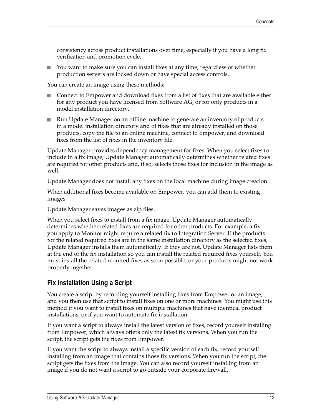consistency across product installations over time, especially if you have a long fix verification and promotion cycle.

П You want to make sure you can install fixes at any time, regardless of whether production servers are locked down or have special access controls.

You can create an image using these methods:

- Connect to Empower and download fixes from a list of fixes that are available either for any product you have licensed from Software AG, or for only products in a model installation directory.
- Run Update Manager on an offline machine to generate an inventory of products n. in a model installation directory and of fixes that are already installed on those products, copy the file to an online machine, connect to Empower, and download fixes from the list of fixes in the inventory file.

Update Manager provides dependency management for fixes. When you select fixes to include in a fix image, Update Manager automatically determines whether related fixes are required for other products and, if so, selects those fixes for inclusion in the image as well.

Update Manager does not install any fixes on the local machine during image creation.

When additional fixes become available on Empower, you can add them to existing images.

Update Manager saves images as zip files.

When you select fixes to install from a fix image, Update Manager automatically determines whether related fixes are required for other products. For example, a fix you apply to Monitor might require a related fix to Integration Server. If the products for the related required fixes are in the same installation directory as the selected fixes, Update Manager installs them automatically. If they are not, Update Manager lists them at the end of the fix installation so you can install the related required fixes yourself. You must install the related required fixes as soon possible, or your products might not work properly together.

#### <span id="page-11-0"></span>**Fix Installation Using a Script**

You create a script by recording yourself installing fixes from Empower or an image, and you then use that script to install fixes on one or more machines. You might use this method if you want to install fixes on multiple machines that have identical product installations, or if you want to automate fix installation.

If you want a script to always install the latest version of fixes, record yourself installing from Empower, which always offers only the latest fix versions. When you run the script, the script gets the fixes from Empower.

If you want the script to always install a specific version of each fix, record yourself installing from an image that contains those fix versions. When you run the script, the script gets the fixes from the image. You can also record yourself installing from an image if you do not want a script to go outside your corporate firewall.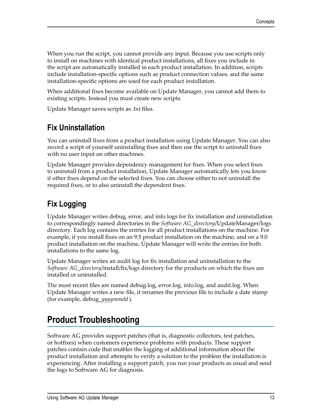When you run the script, you cannot provide any input. Because you use scripts only to install on machines with identical product installations, all fixes you include in the script are automatically installed in each product installation. In addition, scripts include installation-specific options such as product connection values, and the same installation-specific options are used for each product installation.

When additional fixes become available on Update Manager, you cannot add them to existing scripts. Instead you must create new scripts.

Update Manager saves scripts as .txt files.

#### <span id="page-12-0"></span>**Fix Uninstallation**

You can uninstall fixes from a product installation using Update Manager. You can also record a script of yourself uninstalling fixes and then use the script to uninstall fixes with no user input on other machines.

Update Manager provides dependency management for fixes. When you select fixes to uninstall from a product installation, Update Manager automatically lets you know if other fixes depend on the selected fixes. You can choose either to not uninstall the required fixes, or to also uninstall the dependent fixes.

## <span id="page-12-1"></span>**Fix Logging**

Update Manager writes debug, error, and info logs for fix installation and uninstallation to correspondingly named directories in the *Software AG\_directory*/UpdateManager/logs directory. Each log contains the entries for all product installations on the machine. For example, if you install fixes on an 9.5 product installation on the machine, and on a 9.0 product installation on the machine, Update Manager will write the entries for both installations to the same log.

Update Manager writes an audit log for fix installation and uninstallation to the *Software AG\_directory*/install/fix/logs directory for the products on which the fixes are installed or uninstalled.

The most recent files are named debug.log, error.log, info.log, and audit.log. When Update Manager writes a new file, it renames the previous file to include a date stamp (for example, debug\_*yyyymmdd* ).

# <span id="page-12-2"></span>**Product Troubleshooting**

Software AG provides support patches (that is, diagnostic collectors, test patches, or hotfixes) when customers experience problems with products. These support patches contain code that enables the logging of additional information about the product installation and attempts to verify a solution to the problem the installation is experiencing. After installing a support patch, you run your products as usual and send the logs to Software AG for diagnosis.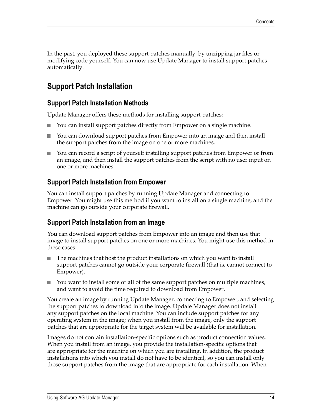In the past, you deployed these support patches manually, by unzipping jar files or modifying code yourself. You can now use Update Manager to install support patches automatically.

#### <span id="page-13-0"></span>**Support Patch Installation**

#### <span id="page-13-1"></span>**Support Patch Installation Methods**

Update Manager offers these methods for installing support patches:

- You can install support patches directly from Empower on a single machine. П
- You can download support patches from Empower into an image and then install П the support patches from the image on one or more machines.
- You can record a script of yourself installing support patches from Empower or from m. an image, and then install the support patches from the script with no user input on one or more machines.

#### <span id="page-13-2"></span>**Support Patch Installation from Empower**

You can install support patches by running Update Manager and connecting to Empower. You might use this method if you want to install on a single machine, and the machine can go outside your corporate firewall.

#### <span id="page-13-3"></span>**Support Patch Installation from an Image**

You can download support patches from Empower into an image and then use that image to install support patches on one or more machines. You might use this method in these cases:

- The machines that host the product installations on which you want to install m. support patches cannot go outside your corporate firewall (that is, cannot connect to Empower).
- You want to install some or all of the same support patches on multiple machines,  $\overline{\phantom{a}}$ and want to avoid the time required to download from Empower.

You create an image by running Update Manager, connecting to Empower, and selecting the support patches to download into the image. Update Manager does not install any support patches on the local machine. You can include support patches for any operating system in the image; when you install from the image, only the support patches that are appropriate for the target system will be available for installation.

Images do not contain installation-specific options such as product connection values. When you install from an image, you provide the installation-specific options that are appropriate for the machine on which you are installing. In addition, the product installations into which you install do not have to be identical, so you can install only those support patches from the image that are appropriate for each installation. When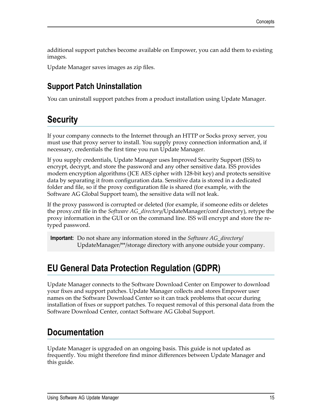additional support patches become available on Empower, you can add them to existing images.

Update Manager saves images as zip files.

### <span id="page-14-0"></span>**Support Patch Uninstallation**

You can uninstall support patches from a product installation using Update Manager.

# <span id="page-14-1"></span>**Security**

If your company connects to the Internet through an HTTP or Socks proxy server, you must use that proxy server to install. You supply proxy connection information and, if necessary, credentials the first time you run Update Manager.

If you supply credentials, Update Manager uses Improved Security Support (ISS) to encrypt, decrypt, and store the password and any other sensitive data. ISS provides modern encryption algorithms (JCE AES cipher with 128-bit key) and protects sensitive data by separating it from configuration data. Sensitive data is stored in a dedicated folder and file, so if the proxy configuration file is shared (for example, with the Software AG Global Support team), the sensitive data will not leak.

If the proxy password is corrupted or deleted (for example, if someone edits or deletes the proxy.cnf file in the *Software AG\_directory*/UpdateManager/conf directory), retype the proxy information in the GUI or on the command line. ISS will encrypt and store the retyped password.

**Important:** Do not share any information stored in the *Software AG\_directory*/ UpdateManager/\*\*/storage directory with anyone outside your company.

# <span id="page-14-2"></span>**EU General Data Protection Regulation (GDPR)**

Update Manager connects to the Software Download Center on Empower to download your fixes and support patches. Update Manager collects and stores Empower user names on the Software Download Center so it can track problems that occur during installation of fixes or support patches. To request removal of this personal data from the Software Download Center, contact Software AG Global Support.

# <span id="page-14-3"></span>**Documentation**

Update Manager is upgraded on an ongoing basis. This guide is not updated as frequently. You might therefore find minor differences between Update Manager and this guide.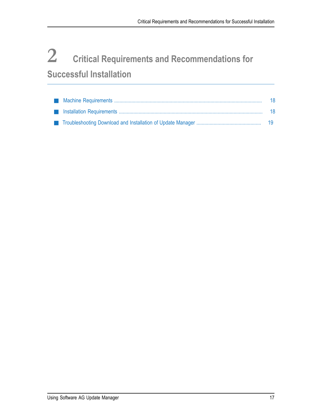# <span id="page-16-0"></span>**2 Critical Requirements and Recommendations for Successful Installation**

|  | - 18 |
|--|------|
|  |      |
|  |      |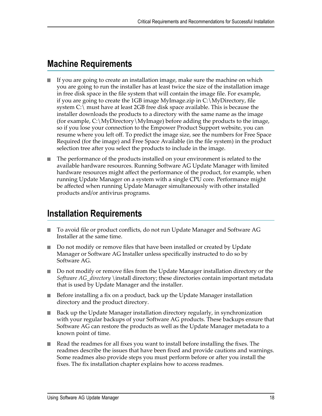## <span id="page-17-0"></span>**Machine Requirements**

- If you are going to create an installation image, make sure the machine on which you are going to run the installer has at least twice the size of the installation image in free disk space in the file system that will contain the image file. For example, if you are going to create the 1GB image MyImage.zip in C:\MyDirectory, file system C:\ must have at least 2GB free disk space available. This is because the installer downloads the products to a directory with the same name as the image (for example, C:\MyDirectory\MyImage) before adding the products to the image, so if you lose your connection to the Empower Product Support website, you can resume where you left off. To predict the image size, see the numbers for Free Space Required (for the image) and Free Space Available (in the file system) in the product selection tree after you select the products to include in the image.
- The performance of the products installed on your environment is related to the available hardware resources. Running Software AG Update Manager with limited hardware resources might affect the performance of the product, for example, when running Update Manager on a system with a single CPU core. Performance might be affected when running Update Manager simultaneously with other installed products and/or antivirus programs.

# <span id="page-17-1"></span>**Installation Requirements**

- To avoid file or product conflicts, do not run Update Manager and Software AG Installer at the same time.
- Do not modify or remove files that have been installed or created by Update Manager or Software AG Installer unless specifically instructed to do so by Software AG.
- Do not modify or remove files from the Update Manager installation directory or the *Software AG\_directory* \install directory; these directories contain important metadata that is used by Update Manager and the installer.
- Before installing a fix on a product, back up the Update Manager installation **The State** directory and the product directory.
- Back up the Update Manager installation directory regularly, in synchronization with your regular backups of your Software AG products. These backups ensure that Software AG can restore the products as well as the Update Manager metadata to a known point of time.
- Read the readmes for all fixes you want to install before installing the fixes. The  $\overline{\phantom{a}}$ readmes describe the issues that have been fixed and provide cautions and warnings. Some readmes also provide steps you must perform before or after you install the fixes. The fix installation chapter explains how to access readmes.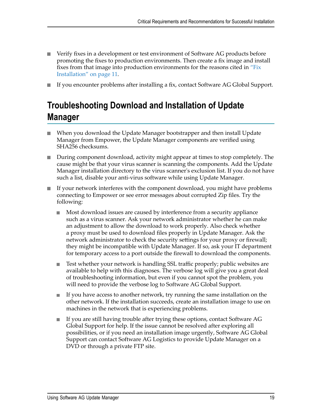- Verify fixes in a development or test environment of Software AG products before promoting the fixes to production environments. Then create a fix image and install fixes from that image into production environments for the reasons cited in ["Fix](#page-10-0) [Installation" on page 11.](#page-10-0)
- If you encounter problems after installing a fix, contact Software AG Global Support.

# <span id="page-18-0"></span>**Troubleshooting Download and Installation of Update Manager**

- When you download the Update Manager bootstrapper and then install Update  $\overline{\phantom{a}}$ Manager from Empower, the Update Manager components are verified using SHA256 checksums.
- During component download, activity might appear at times to stop completely. The cause might be that your virus scanner is scanning the components. Add the Update Manager installation directory to the virus scanner's exclusion list. If you do not have such a list, disable your anti-virus software while using Update Manager.
- If your network interferes with the component download, you might have problems connecting to Empower or see error messages about corrupted Zip files. Try the following:
	- ш Most download issues are caused by interference from a security appliance such as a virus scanner. Ask your network administrator whether he can make an adjustment to allow the download to work properly. Also check whether a proxy must be used to download files properly in Update Manager. Ask the network administrator to check the security settings for your proxy or firewall; they might be incompatible with Update Manager. If so, ask your IT department for temporary access to a port outside the firewall to download the components.
	- Test whether your network is handling SSL traffic properly; public websites are п available to help with this diagnoses. The verbose log will give you a great deal of troubleshooting information, but even if you cannot spot the problem, you will need to provide the verbose log to Software AG Global Support.
	- If you have access to another network, try running the same installation on the П other network. If the installation succeeds, create an installation image to use on machines in the network that is experiencing problems.
	- If you are still having trouble after trying these options, contact Software AG п Global Support for help. If the issue cannot be resolved after exploring all possibilities, or if you need an installation image urgently, Software AG Global Support can contact Software AG Logistics to provide Update Manager on a DVD or through a private FTP site.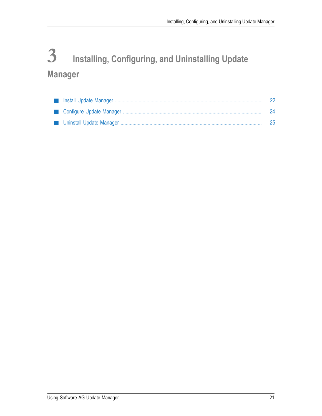# <span id="page-20-0"></span>**3 Installing, Configuring, and Uninstalling Update Manager**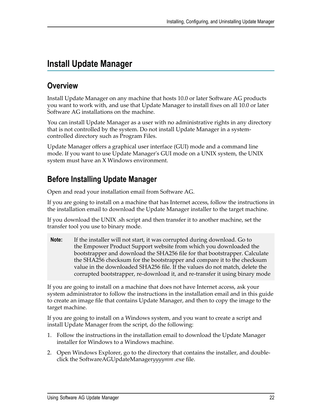# <span id="page-21-0"></span>**Install Update Manager**

## <span id="page-21-1"></span>**Overview**

Install Update Manager on any machine that hosts 10.0 or later Software AG products you want to work with, and use that Update Manager to install fixes on all 10.0 or later Software AG installations on the machine.

You can install Update Manager as a user with no administrative rights in any directory that is not controlled by the system. Do not install Update Manager in a systemcontrolled directory such as Program Files.

Update Manager offers a graphical user interface (GUI) mode and a command line mode. If you want to use Update Manager's GUI mode on a UNIX system, the UNIX system must have an X Windows environment.

# <span id="page-21-2"></span>**Before Installing Update Manager**

Open and read your installation email from Software AG.

If you are going to install on a machine that has Internet access, follow the instructions in the installation email to download the Update Manager installer to the target machine.

If you download the UNIX .sh script and then transfer it to another machine, set the transfer tool you use to binary mode.

**Note:** If the installer will not start, it was corrupted during download. Go to the Empower Product Support website from which you downloaded the bootstrapper and download the SHA256 file for that bootstrapper. Calculate the SHA256 checksum for the bootstrapper and compare it to the checksum value in the downloaded SHA256 file. If the values do not match, delete the corrupted bootstrapper, re-download it, and re-transfer it using binary mode

If you are going to install on a machine that does not have Internet access, ask your system administrator to follow the instructions in the installation email and in this guide to create an image file that contains Update Manager, and then to copy the image to the target machine.

If you are going to install on a Windows system, and you want to create a script and install Update Manager from the script, do the following:

- 1. Follow the instructions in the installation email to download the Update Manager installer for Windows to a Windows machine.
- 2. Open Windows Explorer, go to the directory that contains the installer, and doubleclick the SoftwareAGUpdateManager*yyyymm* .exe file.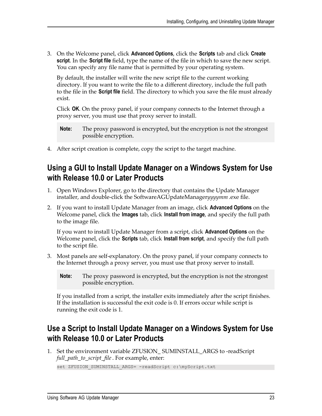3. On the Welcome panel, click **Advanced Options**, click the **Scripts** tab and click **Create script**. In the **Script file** field, type the name of the file in which to save the new script. You can specify any file name that is permitted by your operating system.

By default, the installer will write the new script file to the current working directory. If you want to write the file to a different directory, include the full path to the file in the **Script file** field. The directory to which you save the file must already exist.

Click **OK**. On the proxy panel, if your company connects to the Internet through a proxy server, you must use that proxy server to install.

- **Note:** The proxy password is encrypted, but the encryption is not the strongest possible encryption.
- 4. After script creation is complete, copy the script to the target machine.

#### <span id="page-22-0"></span>**Using a GUI to Install Update Manager on a Windows System for Use with Release 10.0 or Later Products**

- 1. Open Windows Explorer, go to the directory that contains the Update Manager installer, and double-click the SoftwareAGUpdateManager*yyyymm* .exe file.
- 2. If you want to install Update Manager from an image, click **Advanced Options** on the Welcome panel, click the **Images** tab, click **Install from image**, and specify the full path to the image file.

If you want to install Update Manager from a script, click **Advanced Options** on the Welcome panel, click the **Scripts** tab, click **Install from script**, and specify the full path to the script file.

- 3. Most panels are self-explanatory. On the proxy panel, if your company connects to the Internet through a proxy server, you must use that proxy server to install.
	- **Note:** The proxy password is encrypted, but the encryption is not the strongest possible encryption.

If you installed from a script, the installer exits immediately after the script finishes. If the installation is successful the exit code is 0. If errors occur while script is running the exit code is 1.

#### <span id="page-22-1"></span>**Use a Script to Install Update Manager on a Windows System for Use with Release 10.0 or Later Products**

1. Set the environment variable ZFUSION\_ SUMINSTALL\_ARGS to -readScript *full\_path\_to\_script\_file*. For example, enter: set ZFUSION SUMINSTALL ARGS= -readScript c:\myScript.txt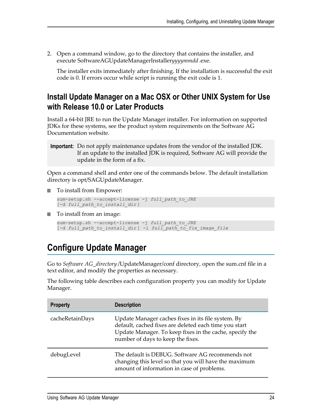2. Open a command window, go to the directory that contains the installer, and execute SoftwareAGUpdateManagerInstaller*yyyymmdd* .exe.

The installer exits immediately after finishing. If the installation is successful the exit code is 0. If errors occur while script is running the exit code is 1.

#### <span id="page-23-0"></span>**Install Update Manager on a Mac OSX or Other UNIX System for Use with Release 10.0 or Later Products**

Install a 64-bit JRE to run the Update Manager installer. For information on supported JDKs for these systems, see the product system requirements on the Software AG Documentation website.

**Important:** Do not apply maintenance updates from the vendor of the installed JDK. If an update to the installed JDK is required, Software AG will provide the update in the form of a fix.

Open a command shell and enter one of the commands below. The default installation directory is opt/SAGUpdateManager.

■ To install from Empower:

```
sum-setup.sh --accept-license -j full_path_to_JRE
[-d full_path_to_install_dir ]
```
■ To install from an image:

```
sum-setup.sh --accept-license -j full_path_to_JRE
[-d full_path_to_install_dir ] -i full_path_to_fix_image_file
```
# <span id="page-23-1"></span>**Configure Update Manager**

Go to *Software AG\_directory* /UpdateManager/conf directory, open the sum.cnf file in a text editor, and modify the properties as necessary.

The following table describes each configuration property you can modify for Update Manager.

| <b>Property</b> | <b>Description</b>                                                                                                                                                                                          |
|-----------------|-------------------------------------------------------------------------------------------------------------------------------------------------------------------------------------------------------------|
| cacheRetainDays | Update Manager caches fixes in its file system. By<br>default, cached fixes are deleted each time you start<br>Update Manager. To keep fixes in the cache, specify the<br>number of days to keep the fixes. |
| debugLevel      | The default is DEBUG. Software AG recommends not<br>changing this level so that you will have the maximum<br>amount of information in case of problems.                                                     |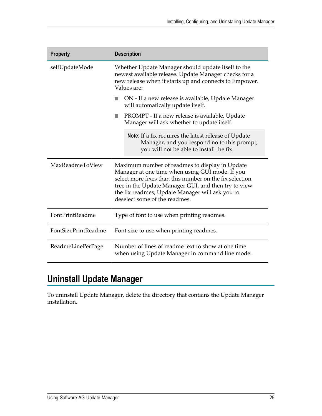| <b>Property</b>     | <b>Description</b>                                                                                                                                                                                                                                                                                       |
|---------------------|----------------------------------------------------------------------------------------------------------------------------------------------------------------------------------------------------------------------------------------------------------------------------------------------------------|
| selfUpdateMode      | Whether Update Manager should update itself to the<br>newest available release. Update Manager checks for a<br>new release when it starts up and connects to Empower.<br>Values are:                                                                                                                     |
|                     | ON - If a new release is available, Update Manager<br>will automatically update itself.                                                                                                                                                                                                                  |
|                     | PROMPT - If a new release is available, Update<br>Manager will ask whether to update itself.                                                                                                                                                                                                             |
|                     | <b>Note:</b> If a fix requires the latest release of Update<br>Manager, and you respond no to this prompt,<br>you will not be able to install the fix.                                                                                                                                                   |
| MaxReadmeToView     | Maximum number of readmes to display in Update<br>Manager at one time when using GUI mode. If you<br>select more fixes than this number on the fix selection<br>tree in the Update Manager GUI, and then try to view<br>the fix readmes, Update Manager will ask you to<br>deselect some of the readmes. |
| FontPrintReadme     | Type of font to use when printing readmes.                                                                                                                                                                                                                                                               |
| FontSizePrintReadme | Font size to use when printing readmes.                                                                                                                                                                                                                                                                  |
| ReadmeLinePerPage   | Number of lines of readme text to show at one time<br>when using Update Manager in command line mode.                                                                                                                                                                                                    |

# <span id="page-24-0"></span>**Uninstall Update Manager**

To uninstall Update Manager, delete the directory that contains the Update Manager installation.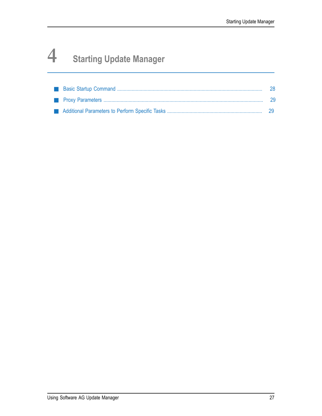# <span id="page-26-0"></span>**4 Starting Update Manager**

|  | - 29 |
|--|------|
|  |      |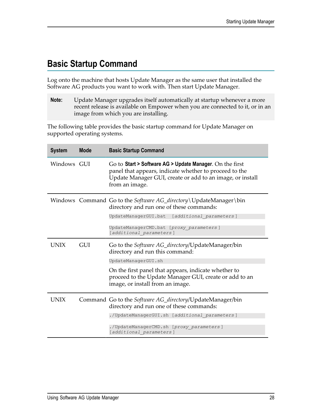# <span id="page-27-0"></span>**Basic Startup Command**

Log onto the machine that hosts Update Manager as the same user that installed the Software AG products you want to work with. Then start Update Manager.

**Note:** Update Manager upgrades itself automatically at startup whenever a more recent release is available on Empower when you are connected to it, or in an image from which you are installing.

The following table provides the basic startup command for Update Manager on supported operating systems.

| <b>System</b> | <b>Mode</b> | <b>Basic Startup Command</b>                                                                                                                                                                      |
|---------------|-------------|---------------------------------------------------------------------------------------------------------------------------------------------------------------------------------------------------|
| Windows GUI   |             | Go to Start > Software AG > Update Manager. On the first<br>panel that appears, indicate whether to proceed to the<br>Update Manager GUI, create or add to an image, or install<br>from an image. |
|               |             | Windows Command Go to the Software AG_directory\UpdateManager\bin<br>directory and run one of these commands:                                                                                     |
|               |             | UpdateManagerGUI.bat<br>[additional parameters]                                                                                                                                                   |
|               |             | UpdateManagerCMD.bat [proxy parameters]<br>[additional parameters]                                                                                                                                |
| <b>UNIX</b>   | GUI         | Go to the <i>Software AG_directory</i> /UpdateManager/bin<br>directory and run this command:                                                                                                      |
|               |             | UpdateManagerGUI.sh                                                                                                                                                                               |
|               |             | On the first panel that appears, indicate whether to<br>proceed to the Update Manager GUI, create or add to an<br>image, or install from an image.                                                |
| <b>UNIX</b>   |             | Command Go to the Software AG_directory/UpdateManager/bin<br>directory and run one of these commands:                                                                                             |
|               |             | ./UpdateManagerGUI.sh [additional parameters]                                                                                                                                                     |
|               |             | ./UpdateManagerCMD.sh [proxy parameters]<br>[additional parameters]                                                                                                                               |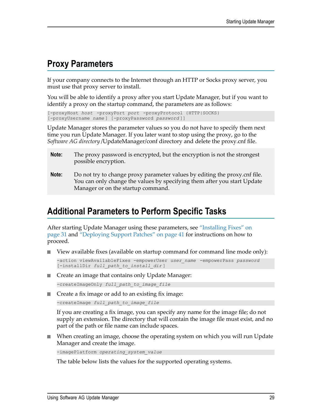## <span id="page-28-0"></span>**Proxy Parameters**

If your company connects to the Internet through an HTTP or Socks proxy server, you must use that proxy server to install.

You will be able to identify a proxy after you start Update Manager, but if you want to identify a proxy on the startup command, the parameters are as follows:

[-proxyHost *host* -proxyPort *port* -proxyProtocol {HTTP|SOCKS} [-proxyUsername *name* ] [-proxyPassword *password* ]]

Update Manager stores the parameter values so you do not have to specify them next time you run Update Manager. If you later want to stop using the proxy, go to the *Software AG directory* /UpdateManager/conf directory and delete the proxy.cnf file.

- **Note:** The proxy password is encrypted, but the encryption is not the strongest possible encryption.
- **Note:** Do not try to change proxy parameter values by editing the proxy.cnf file. You can only change the values by specifying them after you start Update Manager or on the startup command.

## <span id="page-28-1"></span>**Additional Parameters to Perform Specific Tasks**

After starting Update Manager using these parameters, see ["Installing Fixes" on](#page-30-0) [page 31](#page-30-0) and ["Deploying](#page-40-0) Support Patches" on page 41 for instructions on how to proceed.

View available fixes (available on startup command for command line mode only):

```
-action viewAvailableFixes -empowerUser user_name -empowerPass password
[-installDir full_path_to_install_dir ]
```
- Create an image that contains only Update Manager: -createImageOnly *full\_path\_to\_image\_file*
- Create a fix image or add to an existing fix image:

-createImage *full\_path\_to\_image\_file*

If you are creating a fix image, you can specify any name for the image file; do not supply an extension. The directory that will contain the image file must exist, and no part of the path or file name can include spaces.

When creating an image, choose the operating system on which you will run Update Manager and create the image.

```
-imagePlatform operating_system_value
```
The table below lists the values for the supported operating systems.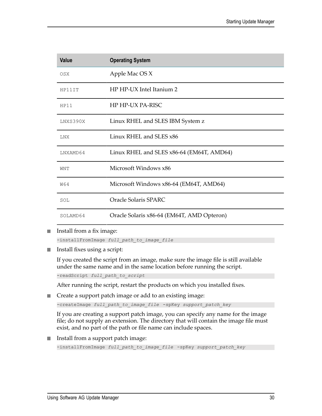| <b>Value</b> | <b>Operating System</b>                    |
|--------------|--------------------------------------------|
| 0SX          | Apple Mac OS X                             |
| HP11IT       | HP HP-UX Intel Itanium 2                   |
| HP11         | HP HP-UX PA-RISC                           |
| LNXS390X     | Linux RHEL and SLES IBM System z           |
| <b>LNX</b>   | Linux RHEL and SLES x86                    |
| LNXAMD64     | Linux RHEL and SLES x86-64 (EM64T, AMD64)  |
| WNT          | Microsoft Windows x86                      |
| W64          | Microsoft Windows x86-64 (EM64T, AMD64)    |
| SOL          | <b>Oracle Solaris SPARC</b>                |
| SOLAMD64     | Oracle Solaris x86-64 (EM64T, AMD Opteron) |

Install from a fix image:  $\mathcal{L}_{\mathcal{A}}$ 

-installFromImage *full\_path\_to\_image\_file*

Install fixes using a script: П

> If you created the script from an image, make sure the image file is still available under the same name and in the same location before running the script.

-readScript *full\_path\_to\_script*

After running the script, restart the products on which you installed fixes.

■ Create a support patch image or add to an existing image:

-createImage *full\_path\_to\_image\_file* -spKey *support\_patch\_key*

If you are creating a support patch image, you can specify any name for the image file; do not supply an extension. The directory that will contain the image file must exist, and no part of the path or file name can include spaces.

Install from a support patch image: F.

```
-installFromImage full_path_to_image_file -spKey support_patch_key
```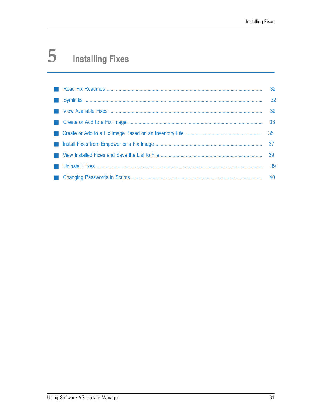#### <span id="page-30-0"></span>5 **Installing Fixes**

|  | 40 |
|--|----|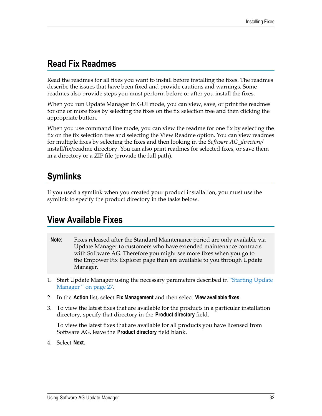# <span id="page-31-0"></span>**Read Fix Readmes**

Read the readmes for all fixes you want to install before installing the fixes. The readmes describe the issues that have been fixed and provide cautions and warnings. Some readmes also provide steps you must perform before or after you install the fixes.

When you run Update Manager in GUI mode, you can view, save, or print the readmes for one or more fixes by selecting the fixes on the fix selection tree and then clicking the appropriate button.

When you use command line mode, you can view the readme for one fix by selecting the fix on the fix selection tree and selecting the View Readme option. You can view readmes for multiple fixes by selecting the fixes and then looking in the *Software AG\_directory*/ install/fix/readme directory. You can also print readmes for selected fixes, or save them in a directory or a ZIP file (provide the full path).

# <span id="page-31-1"></span>**Symlinks**

If you used a symlink when you created your product installation, you must use the symlink to specify the product directory in the tasks below.

# <span id="page-31-2"></span>**View Available Fixes**

- **Note:** Fixes released after the Standard Maintenance period are only available via Update Manager to customers who have extended maintenance contracts with Software AG. Therefore you might see more fixes when you go to the Empower Fix Explorer page than are available to you through Update Manager.
- 1. Start Update Manager using the necessary parameters described in ["Starting Update](#page-26-0) [Manager " on page 27.](#page-26-0)
- 2. In the **Action** list, select **Fix Management** and then select **View available fixes**.
- 3. To view the latest fixes that are available for the products in a particular installation directory, specify that directory in the **Product directory** field.

To view the latest fixes that are available for all products you have licensed from Software AG, leave the **Product directory** field blank.

4. Select **Next**.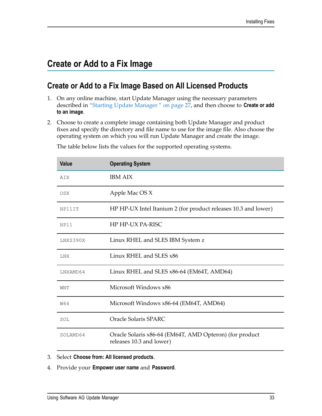## <span id="page-32-0"></span>**Create or Add to a Fix Image**

#### <span id="page-32-1"></span>**Create or Add to a Fix Image Based on All Licensed Products**

- 1. On any online machine, start Update Manager using the necessary parameters described in ["Starting Update Manager " on page 27,](#page-26-0) and then choose to **Create or add to an image**.
- 2. Choose to create a complete image containing both Update Manager and product fixes and specify the directory and file name to use for the image file. Also choose the operating system on which you will run Update Manager and create the image.

| <b>Value</b> | <b>Operating System</b>                                                             |
|--------------|-------------------------------------------------------------------------------------|
| AIX          | <b>IBM AIX</b>                                                                      |
| <b>OSX</b>   | Apple Mac OS X                                                                      |
| HP11IT       | HP HP-UX Intel Itanium 2 (for product releases 10.3 and lower)                      |
| HP11         | HP HP-UX PA-RISC                                                                    |
| LNXS390X     | Linux RHEL and SLES IBM System z                                                    |
| <b>LNX</b>   | Linux RHEL and SLES x86                                                             |
| LNXAMD64     | Linux RHEL and SLES x86-64 (EM64T, AMD64)                                           |
| WNT          | Microsoft Windows x86                                                               |
| <b>W64</b>   | Microsoft Windows x86-64 (EM64T, AMD64)                                             |
| SOL          | Oracle Solaris SPARC                                                                |
| SOLAMD64     | Oracle Solaris x86-64 (EM64T, AMD Opteron) (for product<br>releases 10.3 and lower) |

The table below lists the values for the supported operating systems.

- 3. Select **Choose from: All licensed products**.
- 4. Provide your **Empower user name** and **Password**.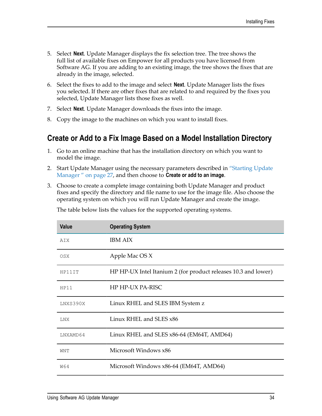- 5. Select **Next**. Update Manager displays the fix selection tree. The tree shows the full list of available fixes on Empower for all products you have licensed from Software AG. If you are adding to an existing image, the tree shows the fixes that are already in the image, selected.
- 6. Select the fixes to add to the image and select **Next**. Update Manager lists the fixes you selected. If there are other fixes that are related to and required by the fixes you selected, Update Manager lists those fixes as well.
- 7. Select **Next**. Update Manager downloads the fixes into the image.
- 8. Copy the image to the machines on which you want to install fixes.

#### <span id="page-33-0"></span>**Create or Add to a Fix Image Based on a Model Installation Directory**

- 1. Go to an online machine that has the installation directory on which you want to model the image.
- 2. Start Update Manager using the necessary parameters described in ["Starting Update](#page-26-0) [Manager " on page 27,](#page-26-0) and then choose to **Create or add to an image**.
- 3. Choose to create a complete image containing both Update Manager and product fixes and specify the directory and file name to use for the image file. Also choose the operating system on which you will run Update Manager and create the image.

The table below lists the values for the supported operating systems.

| <b>Value</b> | <b>Operating System</b>                                        |
|--------------|----------------------------------------------------------------|
| AIX          | <b>IBM AIX</b>                                                 |
| <b>OSX</b>   | Apple Mac OS X                                                 |
| HP11IT       | HP HP-UX Intel Itanium 2 (for product releases 10.3 and lower) |
| HP11         | HP HP-UX PA-RISC                                               |
| LNXS390X     | Linux RHEL and SLES IBM System z                               |
| <b>LNX</b>   | Linux RHEL and SLES x86                                        |
| LNXAMD64     | Linux RHEL and SLES x86-64 (EM64T, AMD64)                      |
| WNT          | Microsoft Windows x86                                          |
| W64          | Microsoft Windows x86-64 (EM64T, AMD64)                        |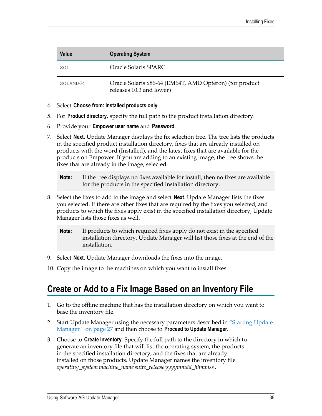| Value    | <b>Operating System</b>                                                             |
|----------|-------------------------------------------------------------------------------------|
| SOL      | Oracle Solaris SPARC                                                                |
| SOLAMD64 | Oracle Solaris x86-64 (EM64T, AMD Opteron) (for product<br>releases 10.3 and lower) |

- 4. Select **Choose from: Installed products only**.
- 5. For **Product directory**, specify the full path to the product installation directory.
- 6. Provide your **Empower user name** and **Password**.
- 7. Select **Next**. Update Manager displays the fix selection tree. The tree lists the products in the specified product installation directory, fixes that are already installed on products with the word (Installed), and the latest fixes that are available for the products on Empower. If you are adding to an existing image, the tree shows the fixes that are already in the image, selected.
	- **Note:** If the tree displays no fixes available for install, then no fixes are available for the products in the specified installation directory.
- 8. Select the fixes to add to the image and select **Next**. Update Manager lists the fixes you selected. If there are other fixes that are required by the fixes you selected, and products to which the fixes apply exist in the specified installation directory, Update Manager lists those fixes as well.
	- **Note:** If products to which required fixes apply do not exist in the specified installation directory, Update Manager will list those fixes at the end of the installation.
- 9. Select **Next**. Update Manager downloads the fixes into the image.
- 10. Copy the image to the machines on which you want to install fixes.

#### <span id="page-34-0"></span>**Create or Add to a Fix Image Based on an Inventory File**

- 1. Go to the offline machine that has the installation directory on which you want to base the inventory file.
- 2. Start Update Manager using the necessary parameters described in ["Starting Update](#page-26-0) [Manager " on page 27](#page-26-0) and then choose to **Proceed to Update Manager**.
- 3. Choose to **Create inventory**. Specify the full path to the directory in which to generate an inventory file that will list the operating system, the products in the specified installation directory, and the fixes that are already installed on those products. Update Manager names the inventory file *operating\_system machine\_namesuite\_release yyyymmdd\_hhmmss*.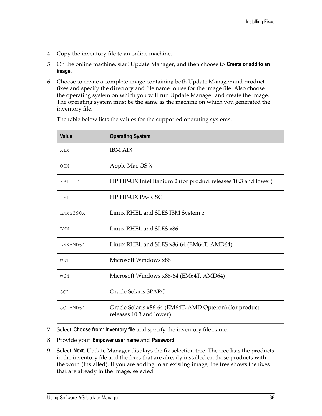- 4. Copy the inventory file to an online machine.
- 5. On the online machine, start Update Manager, and then choose to **Create or add to an image**.
- 6. Choose to create a complete image containing both Update Manager and product fixes and specify the directory and file name to use for the image file. Also choose the operating system on which you will run Update Manager and create the image. The operating system must be the same as the machine on which you generated the inventory file.

| <b>Value</b> | <b>Operating System</b>                                                             |
|--------------|-------------------------------------------------------------------------------------|
| AIX          | <b>IBM AIX</b>                                                                      |
| <b>OSX</b>   | Apple Mac OS X                                                                      |
| HP11IT       | HP HP-UX Intel Itanium 2 (for product releases 10.3 and lower)                      |
| HP11         | HP HP-UX PA-RISC                                                                    |
| LNXS390X     | Linux RHEL and SLES IBM System z                                                    |
| LNX          | Linux RHEL and SLES x86                                                             |
| LNXAMD64     | Linux RHEL and SLES x86-64 (EM64T, AMD64)                                           |
| WNT          | Microsoft Windows x86                                                               |
| W64          | Microsoft Windows x86-64 (EM64T, AMD64)                                             |
| SOL          | Oracle Solaris SPARC                                                                |
| SOLAMD64     | Oracle Solaris x86-64 (EM64T, AMD Opteron) (for product<br>releases 10.3 and lower) |

The table below lists the values for the supported operating systems.

- 7. Select **Choose from: Inventory file** and specify the inventory file name.
- 8. Provide your **Empower user name** and **Password**.
- 9. Select **Next**. Update Manager displays the fix selection tree. The tree lists the products in the inventory file and the fixes that are already installed on those products with the word (Installed). If you are adding to an existing image, the tree shows the fixes that are already in the image, selected.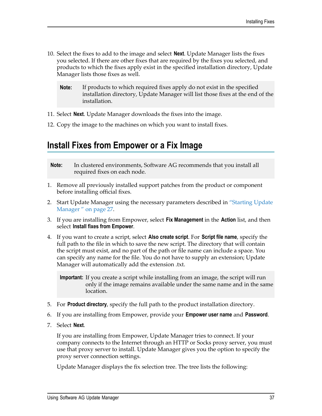- 10. Select the fixes to add to the image and select **Next**. Update Manager lists the fixes you selected. If there are other fixes that are required by the fixes you selected, and products to which the fixes apply exist in the specified installation directory, Update Manager lists those fixes as well.
	- **Note:** If products to which required fixes apply do not exist in the specified installation directory, Update Manager will list those fixes at the end of the installation.
- 11. Select **Next**. Update Manager downloads the fixes into the image.
- 12. Copy the image to the machines on which you want to install fixes.

#### <span id="page-36-0"></span>**Install Fixes from Empower or a Fix Image**

- **Note:** In clustered environments, Software AG recommends that you install all required fixes on each node.
- 1. Remove all previously installed support patches from the product or component before installing official fixes.
- 2. Start Update Manager using the necessary parameters described in ["Starting Update](#page-26-0) [Manager " on page 27.](#page-26-0)
- 3. If you are installing from Empower, select **Fix Management** in the **Action** list, and then select **Install fixes from Empower**.
- 4. If you want to create a script, select **Also create script**. For **Script file name**, specify the full path to the file in which to save the new script. The directory that will contain the script must exist, and no part of the path or file name can include a space. You can specify any name for the file. You do not have to supply an extension; Update Manager will automatically add the extension .txt.

**Important:** If you create a script while installing from an image, the script will run only if the image remains available under the same name and in the same location.

- 5. For **Product directory**, specify the full path to the product installation directory.
- 6. If you are installing from Empower, provide your **Empower user name** and **Password**.
- 7. Select **Next**.

If you are installing from Empower, Update Manager tries to connect. If your company connects to the Internet through an HTTP or Socks proxy server, you must use that proxy server to install. Update Manager gives you the option to specify the proxy server connection settings.

Update Manager displays the fix selection tree. The tree lists the following: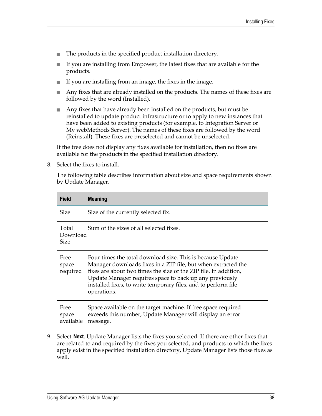- The products in the specified product installation directory. L.
- If you are installing from Empower, the latest fixes that are available for the n. products.
- n. If you are installing from an image, the fixes in the image.
- L. Any fixes that are already installed on the products. The names of these fixes are followed by the word (Installed).
- Any fixes that have already been installed on the products, but must be П reinstalled to update product infrastructure or to apply to new instances that have been added to existing products (for example, to Integration Server or My webMethods Server). The names of these fixes are followed by the word (Reinstall). These fixes are preselected and cannot be unselected.

If the tree does not display any fixes available for installation, then no fixes are available for the products in the specified installation directory.

8. Select the fixes to install.

The following table describes information about size and space requirements shown by Update Manager.

| <b>Field</b>               | <b>Meaning</b>                                                                                                                                                                                                                                                                                                                              |
|----------------------------|---------------------------------------------------------------------------------------------------------------------------------------------------------------------------------------------------------------------------------------------------------------------------------------------------------------------------------------------|
| <b>Size</b>                | Size of the currently selected fix.                                                                                                                                                                                                                                                                                                         |
| Total<br>Download<br>Size  | Sum of the sizes of all selected fixes.                                                                                                                                                                                                                                                                                                     |
| Free<br>space<br>required  | Four times the total download size. This is because Update<br>Manager downloads fixes in a ZIP file, but when extracted the<br>fixes are about two times the size of the ZIP file. In addition,<br>Update Manager requires space to back up any previously<br>installed fixes, to write temporary files, and to perform file<br>operations. |
| Free<br>space<br>available | Space available on the target machine. If free space required<br>exceeds this number, Update Manager will display an error<br>message.                                                                                                                                                                                                      |

9. Select **Next**. Update Manager lists the fixes you selected. If there are other fixes that are related to and required by the fixes you selected, and products to which the fixes apply exist in the specified installation directory, Update Manager lists those fixes as well.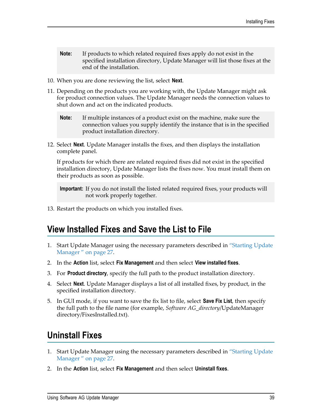- **Note:** If products to which related required fixes apply do not exist in the specified installation directory, Update Manager will list those fixes at the end of the installation.
- 10. When you are done reviewing the list, select **Next**.
- 11. Depending on the products you are working with, the Update Manager might ask for product connection values. The Update Manager needs the connection values to shut down and act on the indicated products.
	- **Note:** If multiple instances of a product exist on the machine, make sure the connection values you supply identify the instance that is in the specified product installation directory.
- 12. Select **Next**. Update Manager installs the fixes, and then displays the installation complete panel.

If products for which there are related required fixes did not exist in the specified installation directory, Update Manager lists the fixes now. You must install them on their products as soon as possible.

**Important:** If you do not install the listed related required fixes, your products will not work properly together.

13. Restart the products on which you installed fixes.

#### <span id="page-38-0"></span>**View Installed Fixes and Save the List to File**

- 1. Start Update Manager using the necessary parameters described in ["Starting Update](#page-26-0) [Manager " on page 27.](#page-26-0)
- 2. In the **Action** list, select **Fix Management** and then select **View installed fixes**.
- 3. For **Product directory**, specify the full path to the product installation directory.
- 4. Select **Next**. Update Manager displays a list of all installed fixes, by product, in the specified installation directory.
- 5. In GUI mode, if you want to save the fix list to file, select **Save Fix List**, then specify the full path to the file name (for example, *Software AG\_directory*/UpdateManager directory/FixesInstalled.txt).

## <span id="page-38-1"></span>**Uninstall Fixes**

- 1. Start Update Manager using the necessary parameters described in ["Starting Update](#page-26-0) [Manager " on page 27.](#page-26-0)
- 2. In the **Action** list, select **Fix Management** and then select **Uninstall fixes**.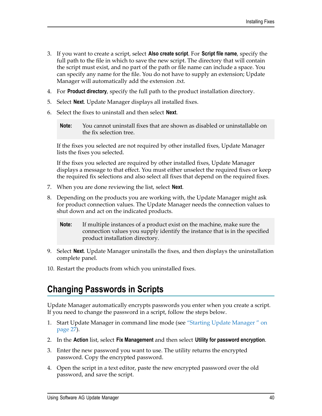- 3. If you want to create a script, select **Also create script**. For **Script file name**, specify the full path to the file in which to save the new script. The directory that will contain the script must exist, and no part of the path or file name can include a space. You can specify any name for the file. You do not have to supply an extension; Update Manager will automatically add the extension .txt.
- 4. For **Product directory**, specify the full path to the product installation directory.
- 5. Select **Next**. Update Manager displays all installed fixes.
- 6. Select the fixes to uninstall and then select **Next**.
	- **Note:** You cannot uninstall fixes that are shown as disabled or uninstallable on the fix selection tree.

If the fixes you selected are not required by other installed fixes, Update Manager lists the fixes you selected.

If the fixes you selected are required by other installed fixes, Update Manager displays a message to that effect. You must either unselect the required fixes or keep the required fix selections and also select all fixes that depend on the required fixes.

- 7. When you are done reviewing the list, select **Next**.
- 8. Depending on the products you are working with, the Update Manager might ask for product connection values. The Update Manager needs the connection values to shut down and act on the indicated products.
	- **Note:** If multiple instances of a product exist on the machine, make sure the connection values you supply identify the instance that is in the specified product installation directory.
- 9. Select **Next**. Update Manager uninstalls the fixes, and then displays the uninstallation complete panel.
- 10. Restart the products from which you uninstalled fixes.

## <span id="page-39-0"></span>**Changing Passwords in Scripts**

Update Manager automatically encrypts passwords you enter when you create a script. If you need to change the password in a script, follow the steps below.

- 1. Start Update Manager in command line mode (see ["Starting Update Manager " on](#page-26-0) [page 27](#page-26-0)).
- 2. In the **Action** list, select **Fix Management** and then select **Utility for password encryption**.
- 3. Enter the new password you want to use. The utility returns the encrypted password. Copy the encrypted password.
- 4. Open the script in a text editor, paste the new encrypted password over the old password, and save the script.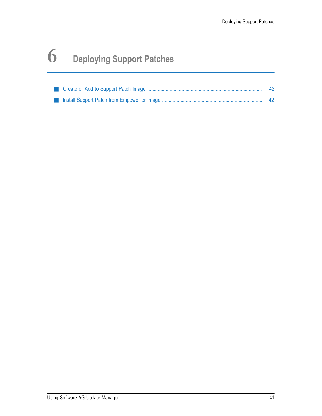# <span id="page-40-0"></span>**6 Deploying Support Patches**

|  | -42 |
|--|-----|
|  |     |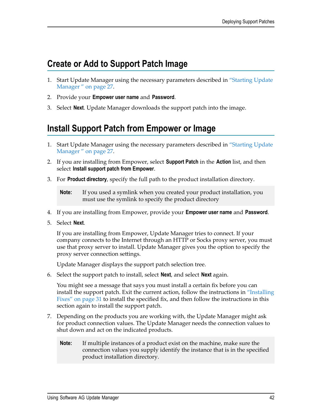## <span id="page-41-0"></span>**Create or Add to Support Patch Image**

- 1. Start Update Manager using the necessary parameters described in ["Starting Update](#page-26-0) [Manager " on page 27.](#page-26-0)
- 2. Provide your **Empower user name** and **Password**.
- 3. Select **Next**. Update Manager downloads the support patch into the image.

# <span id="page-41-1"></span>**Install Support Patch from Empower or Image**

- 1. Start Update Manager using the necessary parameters described in ["Starting Update](#page-26-0) [Manager " on page 27.](#page-26-0)
- 2. If you are installing from Empower, select **Support Patch** in the **Action** list, and then select **Install support patch from Empower**.
- 3. For **Product directory**, specify the full path to the product installation directory.

**Note:** If you used a symlink when you created your product installation, you must use the symlink to specify the product directory

- 4. If you are installing from Empower, provide your **Empower user name** and **Password**.
- 5. Select **Next**.

If you are installing from Empower, Update Manager tries to connect. If your company connects to the Internet through an HTTP or Socks proxy server, you must use that proxy server to install. Update Manager gives you the option to specify the proxy server connection settings.

Update Manager displays the support patch selection tree.

6. Select the support patch to install, select **Next**, and select **Next** again.

You might see a message that says you must install a certain fix before you can install the support patch. Exit the current action, follow the instructions in ["Installing](#page-30-0) [Fixes" on page 31](#page-30-0) to install the specified fix, and then follow the instructions in this section again to install the support patch.

- 7. Depending on the products you are working with, the Update Manager might ask for product connection values. The Update Manager needs the connection values to shut down and act on the indicated products.
	- **Note:** If multiple instances of a product exist on the machine, make sure the connection values you supply identify the instance that is in the specified product installation directory.